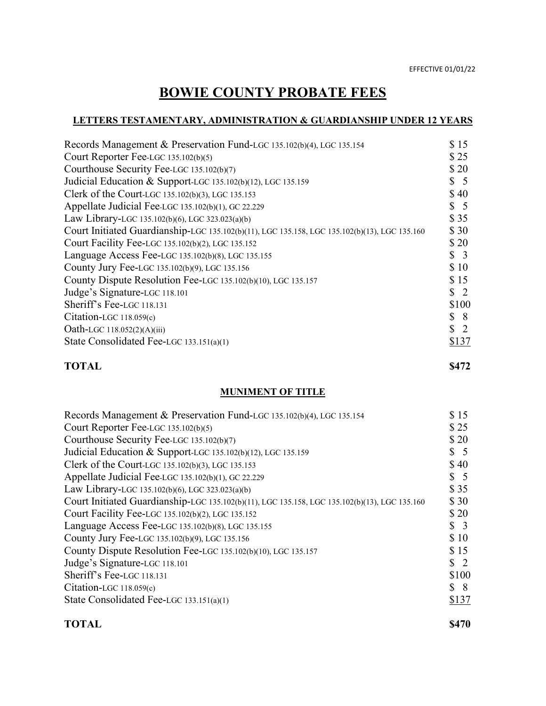# **BOWIE COUNTY PROBATE FEES**

# **LETTERS TESTAMENTARY, ADMINISTRATION & GUARDIANSHIP UNDER 12 YEARS**

| Records Management & Preservation Fund-LGC 135.102(b)(4), LGC 135.154                         | \$15            |
|-----------------------------------------------------------------------------------------------|-----------------|
| Court Reporter Fee-LGC 135.102(b)(5)                                                          | \$25            |
| Courthouse Security Fee-LGC 135.102(b)(7)                                                     | \$20            |
| Judicial Education & Support-LGC 135.102(b)(12), LGC 135.159                                  | $\frac{1}{2}$ 5 |
| Clerk of the Court-LGC 135.102(b)(3), LGC 135.153                                             | \$40            |
| Appellate Judicial Fee-LGC 135.102(b)(1), GC 22.229                                           | $\frac{1}{2}$ 5 |
| Law Library-LGC 135.102(b)(6), LGC 323.023(a)(b)                                              | \$35            |
| Court Initiated Guardianship-LGC 135.102(b)(11), LGC 135.158, LGC 135.102(b)(13), LGC 135.160 | \$30            |
| Court Facility Fee-LGC 135.102(b)(2), LGC 135.152                                             | \$20            |
| Language Access Fee-LGC 135.102(b)(8), LGC 135.155                                            | $\frac{1}{2}$   |
| County Jury Fee-LGC 135.102(b)(9), LGC 135.156                                                | \$10            |
| County Dispute Resolution Fee-LGC 135.102(b)(10), LGC 135.157                                 | \$15            |
| Judge's Signature-LGC 118.101                                                                 | $\frac{1}{2}$   |
| Sheriff's Fee-LGC 118.131                                                                     | \$100           |
| Citation-LGC 118.059(c)                                                                       | $\frac{1}{2}$ 8 |
| Oath-LGC 118.052(2)(A)(iii)                                                                   | $\frac{1}{2}$   |
| State Consolidated Fee-LGC 133.151(a)(1)                                                      | \$137           |
|                                                                                               |                 |

#### **TOTAL \$472**

#### **MUNIMENT OF TITLE**

| Records Management & Preservation Fund-LGC 135.102(b)(4), LGC 135.154                         | \$15            |
|-----------------------------------------------------------------------------------------------|-----------------|
| Court Reporter Fee-LGC 135.102(b)(5)                                                          | \$25            |
| Courthouse Security Fee-LGC 135.102(b)(7)                                                     | \$20            |
| Judicial Education & Support-LGC 135.102(b)(12), LGC 135.159                                  | $\frac{1}{2}$ 5 |
| Clerk of the Court-LGC 135.102(b)(3), LGC 135.153                                             | \$40            |
| Appellate Judicial Fee-LGC 135.102(b)(1), GC 22.229                                           | $\frac{1}{2}$ 5 |
| Law Library-LGC 135.102(b)(6), LGC 323.023(a)(b)                                              | \$35            |
| Court Initiated Guardianship-LGC 135.102(b)(11), LGC 135.158, LGC 135.102(b)(13), LGC 135.160 | \$30            |
| Court Facility Fee-LGC 135.102(b)(2), LGC 135.152                                             | \$20            |
| Language Access Fee-LGC 135.102(b)(8), LGC 135.155                                            | $\frac{1}{2}$   |
| County Jury Fee-LGC 135.102(b)(9), LGC 135.156                                                | \$10            |
| County Dispute Resolution Fee-LGC 135.102(b)(10), LGC 135.157                                 | \$15            |
| Judge's Signature-LGC 118.101                                                                 | $\frac{1}{2}$   |
| Sheriff's Fee-LGC 118.131                                                                     | \$100           |
| Citation-LGC $118.059(c)$                                                                     | $\frac{1}{2}$   |
| State Consolidated Fee-LGC 133.151(a)(1)                                                      | \$137           |
|                                                                                               |                 |

#### **TOTAL \$470**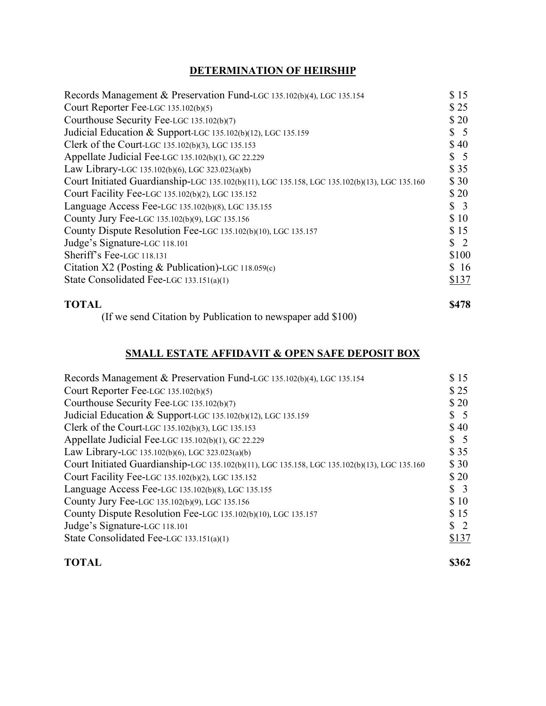# **DETERMINATION OF HEIRSHIP**

| Records Management & Preservation Fund-LGC 135.102(b)(4), LGC 135.154                         | \$15            |
|-----------------------------------------------------------------------------------------------|-----------------|
| Court Reporter Fee-LGC 135.102(b)(5)                                                          | \$25            |
| Courthouse Security Fee-LGC 135.102(b)(7)                                                     | \$20            |
| Judicial Education & Support-LGC 135.102(b)(12), LGC 135.159                                  | $\frac{1}{2}$ 5 |
| Clerk of the Court-LGC 135.102(b)(3), LGC 135.153                                             | \$40            |
| Appellate Judicial Fee-LGC 135.102(b)(1), GC 22.229                                           | $\frac{1}{2}$ 5 |
| Law Library-LGC 135.102(b)(6), LGC 323.023(a)(b)                                              | \$35            |
| Court Initiated Guardianship-LGC 135.102(b)(11), LGC 135.158, LGC 135.102(b)(13), LGC 135.160 | \$30            |
| Court Facility Fee-LGC 135.102(b)(2), LGC 135.152                                             | \$20            |
| Language Access Fee-LGC 135.102(b)(8), LGC 135.155                                            | $\frac{1}{2}$   |
| County Jury Fee-LGC 135.102(b)(9), LGC 135.156                                                | \$10            |
| County Dispute Resolution Fee-LGC 135.102(b)(10), LGC 135.157                                 | \$15            |
| Judge's Signature-LGC 118.101                                                                 | $\frac{1}{2}$   |
| Sheriff's Fee-LGC 118.131                                                                     | \$100           |
| Citation X2 (Posting & Publication)-LGC 118.059(c)                                            | \$16            |
| State Consolidated Fee-LGC 133.151(a)(1)                                                      | \$137           |
| <b>TOTAL</b>                                                                                  | \$478           |

(If we send Citation by Publication to newspaper add \$100)

### **SMALL ESTATE AFFIDAVIT & OPEN SAFE DEPOSIT BOX**

| Records Management & Preservation Fund-LGC 135.102(b)(4), LGC 135.154                         | \$15            |
|-----------------------------------------------------------------------------------------------|-----------------|
| Court Reporter Fee-LGC 135.102(b)(5)                                                          | \$25            |
| Courthouse Security Fee-LGC 135.102(b)(7)                                                     | \$20            |
| Judicial Education & Support-LGC 135.102(b)(12), LGC 135.159                                  | $\frac{1}{2}$ 5 |
| Clerk of the Court-LGC 135.102(b)(3), LGC 135.153                                             | \$40            |
| Appellate Judicial Fee-LGC 135.102(b)(1), GC 22.229                                           | $\frac{1}{2}$ 5 |
| Law Library-LGC 135.102(b)(6), LGC 323.023(a)(b)                                              | \$35            |
| Court Initiated Guardianship-LGC 135.102(b)(11), LGC 135.158, LGC 135.102(b)(13), LGC 135.160 | \$30            |
| Court Facility Fee-LGC 135.102(b)(2), LGC 135.152                                             | \$20            |
| Language Access Fee-LGC 135.102(b)(8), LGC 135.155                                            | $\frac{1}{2}$   |
| County Jury Fee-LGC 135.102(b)(9), LGC 135.156                                                | \$10            |
| County Dispute Resolution Fee-LGC 135.102(b)(10), LGC 135.157                                 | \$15            |
| Judge's Signature-LGC 118.101                                                                 | $\frac{1}{2}$   |
| State Consolidated Fee-LGC 133.151(a)(1)                                                      | \$137           |
|                                                                                               |                 |

#### **TOTAL \$362**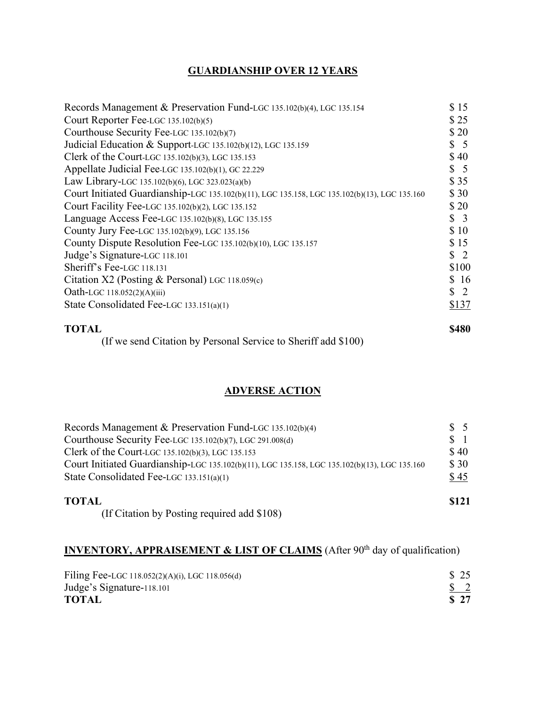## **GUARDIANSHIP OVER 12 YEARS**

| Records Management & Preservation Fund-LGC 135.102(b)(4), LGC 135.154                         | \$15            |
|-----------------------------------------------------------------------------------------------|-----------------|
| Court Reporter Fee-LGC 135.102(b)(5)                                                          | \$25            |
| Courthouse Security Fee-LGC 135.102(b)(7)                                                     | \$20            |
| Judicial Education & Support-LGC 135.102(b)(12), LGC 135.159                                  | $\frac{1}{2}$ 5 |
| Clerk of the Court-LGC 135.102(b)(3), LGC 135.153                                             | \$40            |
| Appellate Judicial Fee-LGC 135.102(b)(1), GC 22.229                                           | $\frac{1}{2}$ 5 |
| Law Library-LGC 135.102(b)(6), LGC 323.023(a)(b)                                              | \$35            |
| Court Initiated Guardianship-LGC 135.102(b)(11), LGC 135.158, LGC 135.102(b)(13), LGC 135.160 | \$30            |
| Court Facility Fee-LGC 135.102(b)(2), LGC 135.152                                             | \$20            |
| Language Access Fee-LGC 135.102(b)(8), LGC 135.155                                            | $\frac{1}{2}$   |
| County Jury Fee-LGC 135.102(b)(9), LGC 135.156                                                | \$10            |
| County Dispute Resolution Fee-LGC 135.102(b)(10), LGC 135.157                                 | \$15            |
| Judge's Signature-LGC 118.101                                                                 | $\frac{1}{2}$   |
| Sheriff's Fee-LGC 118.131                                                                     | \$100           |
| Citation X2 (Posting & Personal) LGC 118.059(c)                                               | \$16            |
| Oath-LGC 118.052(2)(A)(iii)                                                                   | $\frac{1}{2}$   |
| State Consolidated Fee-LGC 133.151(a)(1)                                                      | \$137           |
| <b>TOTAL</b>                                                                                  | \$480           |

(If we send Citation by Personal Service to Sheriff add \$100)

# **ADVERSE ACTION**

| Records Management & Preservation Fund-LGC 135.102(b)(4)                                      | $\frac{1}{5}$ |
|-----------------------------------------------------------------------------------------------|---------------|
| Courthouse Security Fee-LGC 135.102(b)(7), LGC 291.008(d)                                     | $\frac{1}{2}$ |
| Clerk of the Court-LGC 135.102(b)(3), LGC 135.153                                             | \$40          |
| Court Initiated Guardianship-LGC 135.102(b)(11), LGC 135.158, LGC 135.102(b)(13), LGC 135.160 | \$30          |
| State Consolidated Fee-LGC 133.151(a)(1)                                                      | \$45          |
| <b>TOTAL</b>                                                                                  | \$121         |
| (If Citation by Posting required add \$108)                                                   |               |

# **INVENTORY, APPRAISEMENT & LIST OF CLAIMS** (After 90<sup>th</sup> day of qualification)

| Filing Fee-LGC 118.052(2)(A)(i), LGC 118.056(d) | \$ 25         |  |
|-------------------------------------------------|---------------|--|
| Judge's Signature-118.101                       | $\frac{1}{2}$ |  |
| <b>TOTAL</b>                                    | <b>S</b> 27   |  |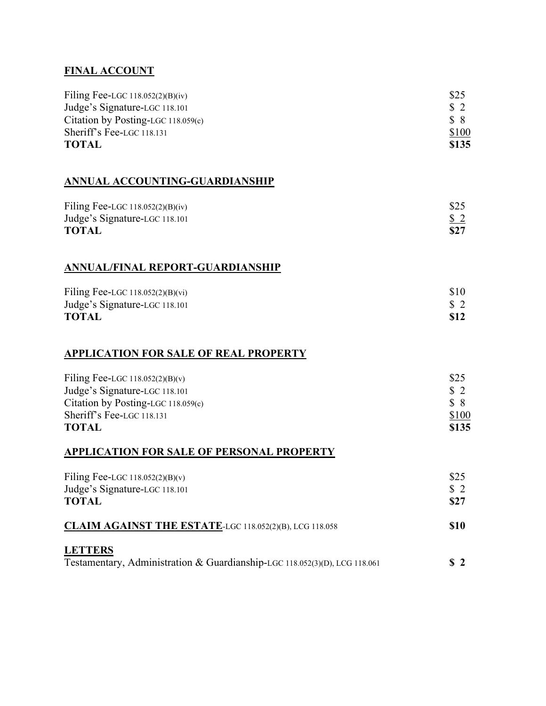## **FINAL ACCOUNT**

| Filing Fee-LGC $118.052(2)(B)(iv)$   | \$25           |
|--------------------------------------|----------------|
| Judge's Signature-LGC 118.101        | $\mathbf{S}$ 2 |
| Citation by Posting-LGC $118.059(c)$ | S 8            |
| Sheriff's Fee-LGC 118.131            | \$100          |
| <b>TOTAL</b>                         | \$135          |

# **ANNUAL ACCOUNTING-GUARDIANSHIP**

| Filing Fee-LGC $118.052(2)(B)(iv)$ | \$25              |
|------------------------------------|-------------------|
| Judge's Signature-LGC 118.101      | $\underline{\$2}$ |
| <b>TOTAL</b>                       | \$27              |

# **ANNUAL/FINAL REPORT-GUARDIANSHIP**

| Filing Fee-LGC $118.052(2)(B)(vi)$ | \$10          |
|------------------------------------|---------------|
| Judge's Signature-LGC 118.101      | $\frac{1}{2}$ |
| <b>TOTAL</b>                       | <b>S12</b>    |

#### **APPLICATION FOR SALE OF REAL PROPERTY**

| Filing Fee-LGC $118.052(2)(B)(v)$  | \$25          |
|------------------------------------|---------------|
| Judge's Signature-LGC 118.101      | $\frac{1}{2}$ |
| Citation by Posting-LGC 118.059(c) | $S \times$    |
| Sheriff's Fee-LGC 118.131          | \$100         |
| <b>TOTAL</b>                       | \$135         |

### **APPLICATION FOR SALE OF PERSONAL PROPERTY**

| Filing Fee-LGC $118.052(2)(B)(v)$<br>Judge's Signature-LGC 118.101<br><b>TOTAL</b>           |                |
|----------------------------------------------------------------------------------------------|----------------|
| CLAIM AGAINST THE ESTATE-LGC 118.052(2)(B), LCG 118.058                                      | <b>S10</b>     |
| <b>LETTERS</b><br>Testamentary, Administration & Guardianship-LGC 118.052(3)(D), LCG 118.061 | S <sub>2</sub> |